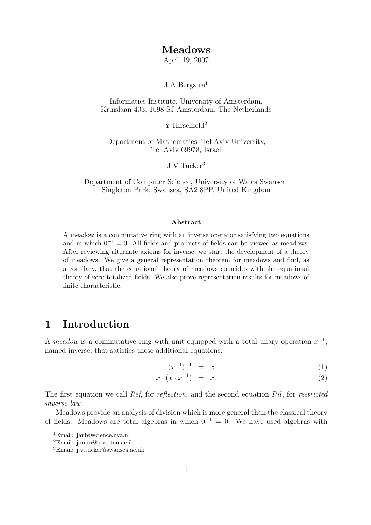## Meadows

April 19, 2007

J A Bergstra<sup>1</sup>

Informatics Institute, University of Amsterdam, Kruislaan 403, 1098 SJ Amsterdam, The Netherlands

 $Y$  Hirschfeld<sup>2</sup>

Department of Mathematics, Tel Aviv University, Tel Aviv 69978, Israel

J V Tucker<sup>3</sup>

Department of Computer Science, University of Wales Swansea, Singleton Park, Swansea, SA2 8PP, United Kingdom

#### Abstract

A meadow is a commutative ring with an inverse operator satisfying two equations and in which  $0^{-1} = 0$ . All fields and products of fields can be viewed as meadows. After reviewing alternate axioms for inverse, we start the development of a theory of meadows. We give a general representation theorem for meadows and find, as a corollary, that the equational theory of meadows coincides with the equational theory of zero totalized fields. We also prove representation results for meadows of finite characteristic.

## 1 Introduction

A meadow is a commutative ring with unit equipped with a total unary operation  $x^{-1}$ , named inverse, that satisfies these additional equations:

$$
(x^{-1})^{-1} = x \tag{1}
$$

$$
x \cdot (x \cdot x^{-1}) = x. \tag{2}
$$

The first equation we call Ref, for reflection, and the second equation Ril, for restricted inverse law.

Meadows provide an analysis of division which is more general than the classical theory of fields. Meadows are total algebras in which  $0^{-1} = 0$ . We have used algebras with

<sup>&</sup>lt;sup>1</sup>Email: janb@science.uva.nl

<sup>2</sup>Email: joram@post.tau.ac.il

<sup>3</sup>Email: j.v.tucker@swansea.ac.uk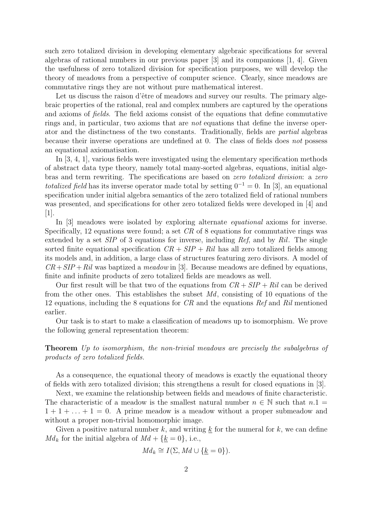such zero totalized division in developing elementary algebraic specifications for several algebras of rational numbers in our previous paper [3] and its companions [1, 4]. Given the usefulness of zero totalized division for specification purposes, we will develop the theory of meadows from a perspective of computer science. Clearly, since meadows are commutative rings they are not without pure mathematical interest.

Let us discuss the raison d'être of meadows and survey our results. The primary algebraic properties of the rational, real and complex numbers are captured by the operations and axioms of fields. The field axioms consist of the equations that define commutative rings and, in particular, two axioms that are not equations that define the inverse operator and the distinctness of the two constants. Traditionally, fields are partial algebras because their inverse operations are undefined at 0. The class of fields does not possess an equational axiomatisation.

In [3, 4, 1], various fields were investigated using the elementary specification methods of abstract data type theory, namely total many-sorted algebras, equations, initial algebras and term rewriting. The specifications are based on zero totalized division: a zero totalized field has its inverse operator made total by setting  $0^{-1} = 0$ . In [3], an equational specification under initial algebra semantics of the zero totalized field of rational numbers was presented, and specifications for other zero totalized fields were developed in [4] and [1].

In [3] meadows were isolated by exploring alternate equational axioms for inverse. Specifically, 12 equations were found; a set CR of 8 equations for commutative rings was extended by a set  $SIP$  of 3 equations for inverse, including Ref, and by Ril. The single sorted finite equational specification  $CR + SIP + Ril$  has all zero totalized fields among its models and, in addition, a large class of structures featuring zero divisors. A model of  $CR + SIP +Ril$  was baptized a meadow in [3]. Because meadows are defined by equations, finite and infinite products of zero totalized fields are meadows as well.

Our first result will be that two of the equations from  $CR + SIP + Ril$  can be derived from the other ones. This establishes the subset  $Md$ , consisting of 10 equations of the 12 equations, including the 8 equations for CR and the equations Ref and Ril mentioned earlier.

Our task is to start to make a classification of meadows up to isomorphism. We prove the following general representation theorem:

Theorem Up to isomorphism, the non-trivial meadows are precisely the subalgebras of products of zero totalized fields.

As a consequence, the equational theory of meadows is exactly the equational theory of fields with zero totalized division; this strengthens a result for closed equations in [3].

Next, we examine the relationship between fields and meadows of finite characteristic. The characteristic of a meadow is the smallest natural number  $n \in \mathbb{N}$  such that  $n.1 =$  $1 + 1 + \ldots + 1 = 0$ . A prime meadow is a meadow without a proper submeadow and without a proper non-trivial homomorphic image.

Given a positive natural number k, and writing  $\underline{k}$  for the numeral for k, we can define  $Md_k$  for the initial algebra of  $Md + {\underline{k}} = 0$ , i.e.,

$$
Md_k \cong I(\Sigma, Md \cup \{\underline{k} = 0\}).
$$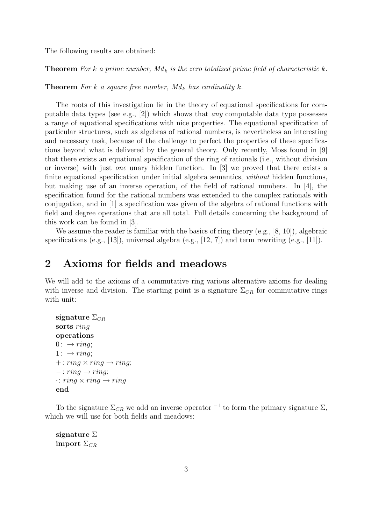The following results are obtained:

**Theorem** For k a prime number,  $Md_k$  is the zero totalized prime field of characteristic k.

**Theorem** For k a square free number,  $Md_k$  has cardinality k.

The roots of this investigation lie in the theory of equational specifications for computable data types (see e.g., [2]) which shows that *any* computable data type possesses a range of equational specifications with nice properties. The equational specification of particular structures, such as algebras of rational numbers, is nevertheless an interesting and necessary task, because of the challenge to perfect the properties of these specifications beyond what is delivered by the general theory. Only recently, Moss found in [9] that there exists an equational specification of the ring of rationals (i.e., without division or inverse) with just one unary hidden function. In [3] we proved that there exists a finite equational specification under initial algebra semantics, *without* hidden functions, but making use of an inverse operation, of the field of rational numbers. In [4], the specification found for the rational numbers was extended to the complex rationals with conjugation, and in [1] a specification was given of the algebra of rational functions with field and degree operations that are all total. Full details concerning the background of this work can be found in [3].

We assume the reader is familiar with the basics of ring theory (e.g., [8, 10]), algebraic specifications (e.g., [13]), universal algebra (e.g., [12, 7]) and term rewriting (e.g., [11]).

# 2 Axioms for fields and meadows

We will add to the axioms of a commutative ring various alternative axioms for dealing with inverse and division. The starting point is a signature  $\Sigma_{CR}$  for commutative rings with unit:

```
signature \Sigma_{CR}sorts ring
operations
0: \rightarrow ring1: \rightarrow ring;+: ring \times ring \rightarrow ring;-: ring \rightarrow ring;
\cdot: ring \times ring \rightarrow ringend
```
To the signature  $\Sigma_{CR}$  we add an inverse operator <sup>-1</sup> to form the primary signature  $\Sigma$ , which we will use for both fields and meadows:

signature  $\Sigma$ import  $\Sigma_{CR}$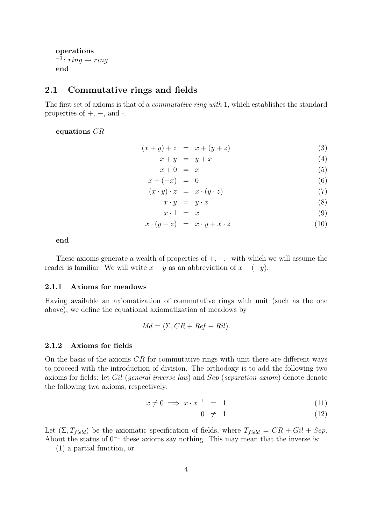```
operations
i^{-1}: ring \rightarrow ringend
```
### 2.1 Commutative rings and fields

The first set of axioms is that of a commutative ring with 1, which establishes the standard properties of  $+$ ,  $-$ , and  $\cdot$ .

equations CR

$$
(x + y) + z = x + (y + z)
$$
 (3)

$$
x + y = y + x \tag{4}
$$

$$
x + 0 = x \tag{5}
$$

$$
x + (-x) = 0 \tag{6}
$$

$$
(x \cdot y) \cdot z = x \cdot (y \cdot z) \tag{7}
$$

$$
x \cdot y = y \cdot x \tag{8}
$$

$$
x \cdot 1 = x \tag{9}
$$

$$
x \cdot (y+z) = x \cdot y + x \cdot z \tag{10}
$$

end

These axioms generate a wealth of properties of  $+,-$ ,  $\cdot$  with which we will assume the reader is familiar. We will write  $x - y$  as an abbreviation of  $x + (-y)$ .

#### 2.1.1 Axioms for meadows

Having available an axiomatization of commutative rings with unit (such as the one above), we define the equational axiomatization of meadows by

$$
Md = (\Sigma, CR + Ref + Ril).
$$

#### 2.1.2 Axioms for fields

On the basis of the axioms  $CR$  for commutative rings with unit there are different ways to proceed with the introduction of division. The orthodoxy is to add the following two axioms for fields: let Gil (general inverse law) and Sep (separation axiom) denote denote the following two axioms, respectively:

$$
x \neq 0 \implies x \cdot x^{-1} = 1 \tag{11}
$$

$$
0 \neq 1 \tag{12}
$$

Let  $(\Sigma, T_{field})$  be the axiomatic specification of fields, where  $T_{field} = CR + Gil + Sep$ . About the status of  $0^{-1}$  these axioms say nothing. This may mean that the inverse is:

(1) a partial function, or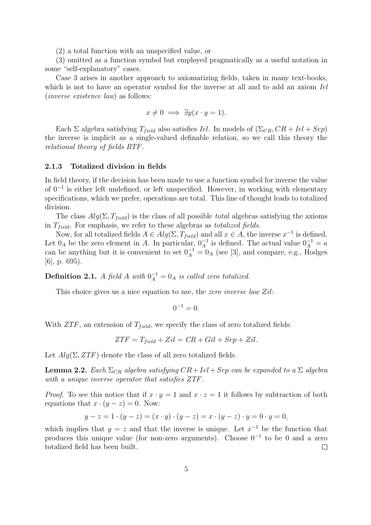(2) a total function with an unspecified value, or

(3) omitted as a function symbol but employed pragmatically as a useful notation in some "self-explanatory" cases.

Case 3 arises in another approach to axiomatizing fields, taken in many text-books, which is not to have an operator symbol for the inverse at all and to add an axiom *Iel* (inverse existence law) as follows:

$$
x \neq 0 \implies \exists y (x \cdot y = 1).
$$

Each Σ algebra satisfying  $T_{field}$  also satisfies Iel. In models of  $(\Sigma_{CR}, CR + Iel + Sep)$ the inverse is implicit as a single-valued definable relation, so we call this theory the relational theory of fields RTF.

#### 2.1.3 Totalized division in fields

In field theory, if the decision has been made to use a function symbol for inverse the value of 0<sup>−</sup><sup>1</sup> is either left undefined, or left unspecified. However, in working with elementary specifications, which we prefer, operations are total. This line of thought leads to totalized division.

The class  $Alg(\Sigma, T_{field})$  is the class of all possible *total* algebras satisfying the axioms in  $T_{field}$ . For emphasis, we refer to these algebras as *totalized fields*.

Now, for all totalized fields  $A \in Alg(\Sigma, T_{field})$  and all  $x \in A$ , the inverse  $x^{-1}$  is defined. Let  $0_A$  be the zero element in A. In particular,  $0_A^{-1}$  is defined. The actual value  $0_A^{-1} = a$ can be anything but it is convenient to set  $0_A^{-1} = 0_A$  (see [3], and compare, e.g., Hodges  $|6|$ , p. 695).

**Definition 2.1.** A field A with  $0_A^{-1} = 0_A$  is called zero totalized.

This choice gives us a nice equation to use, the *zero inverse law Zil*:

$$
0^{-1}=0.
$$

With  $ZTF$ , an extension of  $T_{field}$ , we specify the class of zero totalized fields:

$$
ZTF = T_{field} + Zil = CR + Gil + Sep + Zil.
$$

Let  $Alg(\Sigma, ZTF)$  denote the class of all zero totalized fields.

**Lemma 2.2.** Each  $\Sigma_{CR}$  algebra satisfying  $CR+Iel+Sep$  can be expanded to a  $\Sigma$  algebra with a unique inverse operator that satisfies ZTF.

*Proof.* To see this notice that if  $x \cdot y = 1$  and  $x \cdot z = 1$  it follows by subtraction of both equations that  $x \cdot (y - z) = 0$ . Now:

$$
y - z = 1 \cdot (y - z) = (x \cdot y) \cdot (y - z) = x \cdot (y - z) \cdot y = 0 \cdot y = 0,
$$

which implies that  $y = z$  and that the inverse is unique. Let  $x^{-1}$  be the function that produces this unique value (for non-zero arguments). Choose  $0^{-1}$  to be 0 and a zero totalized field has been built.  $\Box$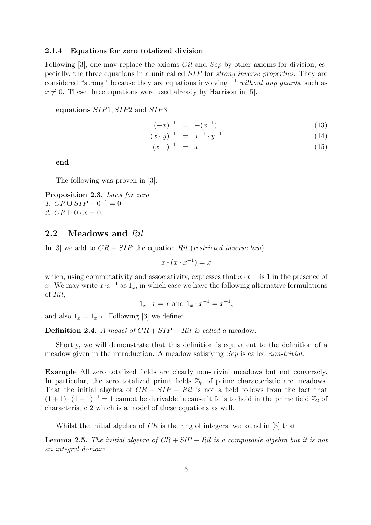#### 2.1.4 Equations for zero totalized division

Following [3], one may replace the axioms Gil and Sep by other axioms for division, especially, the three equations in a unit called SIP for strong inverse properties. They are considered "strong" because they are equations involving  $^{-1}$  without any quards, such as  $x \neq 0$ . These three equations were used already by Harrison in [5].

#### equations SIP1, SIP2 and SIP3

$$
(-x)^{-1} = -(x^{-1}) \tag{13}
$$

$$
(x \cdot y)^{-1} = x^{-1} \cdot y^{-1} \tag{14}
$$

$$
(x^{-1})^{-1} = x \tag{15}
$$

end

The following was proven in [3]:

Proposition 2.3. Laws for zero 1.  $CR \cup SIP \vdash 0^{-1} = 0$ 2.  $CR \vdash 0 \cdot x = 0$ .

### 2.2 Meadows and Ril

In [3] we add to  $CR + SIP$  the equation Ril (restricted inverse law):

$$
x \cdot (x \cdot x^{-1}) = x
$$

which, using commutativity and associativity, expresses that  $x \cdot x^{-1}$  is 1 in the presence of x. We may write  $x \cdot x^{-1}$  as  $1_x$ , in which case we have the following alternative formulations of Ril,

$$
1_x \cdot x = x
$$
 and  $1_x \cdot x^{-1} = x^{-1}$ ,

and also  $1_x = 1_{x^{-1}}$ . Following [3] we define:

**Definition 2.4.** A model of  $CR + SIP + Ril$  is called a meadow.

Shortly, we will demonstrate that this definition is equivalent to the definition of a meadow given in the introduction. A meadow satisfying Sep is called non-trivial.

Example All zero totalized fields are clearly non-trivial meadows but not conversely. In particular, the zero totalized prime fields  $\mathbb{Z}_p$  of prime characteristic are meadows. That the initial algebra of  $CR + SIP + Ril$  is not a field follows from the fact that  $(1+1) \cdot (1+1)^{-1} = 1$  cannot be derivable because it fails to hold in the prime field  $\mathbb{Z}_2$  of characteristic 2 which is a model of these equations as well.

Whilst the initial algebra of  $CR$  is the ring of integers, we found in [3] that

**Lemma 2.5.** The initial algebra of  $CR + SIP + Ril$  is a computable algebra but it is not an integral domain.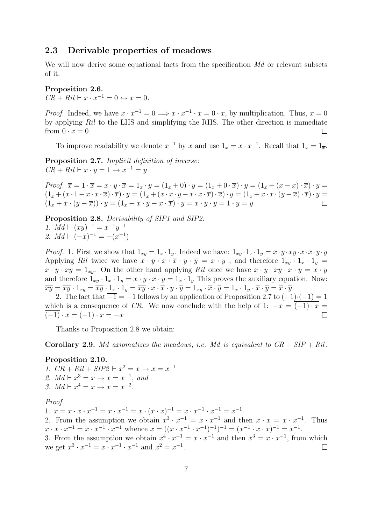## 2.3 Derivable properties of meadows

We will now derive some equational facts from the specification Md or relevant subsets of it.

#### Proposition 2.6.

 $CR + Ril \vdash x \cdot x^{-1} = 0 \leftrightarrow x = 0.$ 

*Proof.* Indeed, we have  $x \cdot x^{-1} = 0 \Longrightarrow x \cdot x^{-1} \cdot x = 0 \cdot x$ , by multiplication. Thus,  $x = 0$ by applying Ril to the LHS and simplifying the RHS. The other direction is immediate from  $0 \cdot x = 0$ .  $\Box$ 

To improve readability we denote  $x^{-1}$  by  $\overline{x}$  and use  $1_x = x \cdot x^{-1}$ . Recall that  $1_x = 1_{\overline{x}}$ .

Proposition 2.7. Implicit definition of inverse:  $CR + Ril \vdash x \cdot y = 1 \rightarrow x^{-1} = y$ 

Proof.  $\overline{x} = 1 \cdot \overline{x} = x \cdot y \cdot \overline{x} = 1_x \cdot y = (1_x + 0) \cdot y = (1_x + 0 \cdot \overline{x}) \cdot y = (1_x + (x - x) \cdot \overline{x}) \cdot y =$  $(1_x + (x \cdot 1 - x \cdot x \cdot \overline{x}) \cdot \overline{x}) \cdot y = (1_x + (x \cdot x \cdot y - x \cdot x \cdot \overline{x}) \cdot \overline{x}) \cdot y = (1_x + x \cdot x \cdot (y - \overline{x}) \cdot \overline{x}) \cdot y =$  $(1_x + x \cdot (y - \overline{x})) \cdot y = (1_x + x \cdot y - x \cdot \overline{x}) \cdot y = x \cdot y \cdot y = 1 \cdot y = y$  $\Box$ 

Proposition 2.8. Derivability of SIP1 and SIP2:

1.  $Md \vdash (xy)^{-1} = x^{-1}y^{-1}$ 2.  $Md \vdash (-x)^{-1} = -(x^{-1})$ 

*Proof.* 1. First we show that  $1_{xy} = 1_x \cdot 1_y$ . Indeed we have:  $1_{xy} \cdot 1_x \cdot 1_y = x \cdot y \cdot \overline{xy} \cdot x \cdot \overline{x} \cdot y \cdot \overline{y}$ Applying Ril twice we have  $x \cdot y \cdot x \cdot \overline{x} \cdot y \cdot \overline{y} = x \cdot y$ , and therefore  $1_{xy} \cdot 1_x \cdot 1_y =$  $x \cdot y \cdot \overline{xy} = 1_{xy}$ . On the other hand applying Ril once we have  $x \cdot y \cdot \overline{xy} \cdot x \cdot y = x \cdot y$ and therefore  $1_{xy} \cdot 1_x \cdot 1_y = x \cdot y \cdot \overline{x} \cdot \overline{y} = 1_x \cdot 1_y$  This proves the auxiliary equation. Now:  $\overline{xy} = \overline{xy} \cdot 1_{xy} = \overline{xy} \cdot 1_x \cdot 1_y = \overline{xy} \cdot x \cdot \overline{x} \cdot y \cdot \overline{y} = 1_{xy} \cdot \overline{x} \cdot \overline{y} = 1_x \cdot 1_y \cdot \overline{x} \cdot \overline{y} = \overline{x} \cdot \overline{y}.$ 

2. The fact that  $\overline{-1} = -1$  follows by an application of Proposition 2.7 to  $(-1)\cdot(-1) = 1$ which is a consequence of CR. We now conclude with the help of 1:  $\overline{-x} = (-1) \cdot x =$  $(-1) \cdot \overline{x} = (-1) \cdot \overline{x} = -\overline{x}$  $\Box$ 

Thanks to Proposition 2.8 we obtain:

**Corollary 2.9.** Md axiomatizes the meadows, i.e. Md is equivalent to  $CR + SIP + Ril$ .

#### Proposition 2.10.

1.  $CR + Ril + SIP2 \vdash x^2 = x \to x = x^{-1}$ 2.  $Md \vdash x^3 = x \rightarrow x = x^{-1}$ , and 3.  $Md \vdash x^4 = x \rightarrow x = x^{-2}$ .

#### Proof.

1.  $x = x \cdot x \cdot x^{-1} = x \cdot x^{-1} = x \cdot (x \cdot x)^{-1} = x \cdot x^{-1} \cdot x^{-1} = x^{-1}$ . 2. From the assumption we obtain  $x^3 \cdot x^{-1} = x \cdot x^{-1}$  and then  $x \cdot x = x \cdot x^{-1}$ . Thus  $x \cdot x \cdot x^{-1} = x \cdot x^{-1} \cdot x^{-1}$  whence  $x = ((x \cdot x^{-1} \cdot x^{-1})^{-1})^{-1} = (x^{-1} \cdot x \cdot x)^{-1} = x^{-1}$ . 3. From the assumption we obtain  $x^4 \cdot x^{-1} = x \cdot x^{-1}$  and then  $x^3 = x \cdot x^{-1}$ , from which we get  $x^3 \cdot x^{-1} = x \cdot x^{-1} \cdot x^{-1}$  and  $x^2 = x^{-1}$ .  $\Box$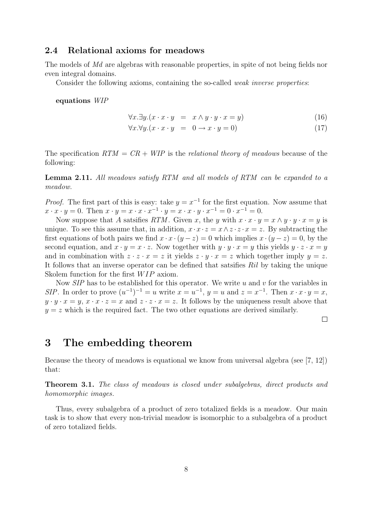## 2.4 Relational axioms for meadows

The models of Md are algebras with reasonable properties, in spite of not being fields nor even integral domains.

Consider the following axioms, containing the so-called weak inverse properties:

equations WIP

$$
\forall x. \exists y. (x \cdot x \cdot y = x \land y \cdot y \cdot x = y) \tag{16}
$$

 $\forall x. \forall y. (x \cdot x \cdot y = 0 \rightarrow x \cdot y = 0)$  (17)

The specification  $RTM = CR + WIP$  is the relational theory of meadows because of the following:

Lemma 2.11. All meadows satisfy RTM and all models of RTM can be expanded to a meadow.

*Proof.* The first part of this is easy: take  $y = x^{-1}$  for the first equation. Now assume that  $x \cdot x \cdot y = 0$ . Then  $x \cdot y = x \cdot x \cdot x^{-1} \cdot y = x \cdot x \cdot y \cdot x^{-1} = 0 \cdot x^{-1} = 0$ .

Now suppose that A satsifies RTM. Given x, the y with  $x \cdot x \cdot y = x \wedge y \cdot y \cdot x = y$  is unique. To see this assume that, in addition,  $x \cdot x \cdot z = x \wedge z \cdot z \cdot x = z$ . By subtracting the first equations of both pairs we find  $x \cdot x \cdot (y - z) = 0$  which implies  $x \cdot (y - z) = 0$ , by the second equation, and  $x \cdot y = x \cdot z$ . Now together with  $y \cdot y \cdot x = y$  this yields  $y \cdot z \cdot x = y$ and in combination with  $z \cdot z \cdot x = z$  it yields  $z \cdot y \cdot x = z$  which together imply  $y = z$ . It follows that an inverse operator can be defined that satsifies Ril by taking the unique Skolem function for the first  $WIP$  axiom.

Now  $SIP$  has to be established for this operator. We write u and v for the variables in SIP. In order to prove  $(u^{-1})^{-1} = u$  write  $x = u^{-1}$ ,  $y = u$  and  $z = x^{-1}$ . Then  $x \cdot x \cdot y = x$ ,  $y \cdot y \cdot x = y$ ,  $x \cdot x \cdot z = x$  and  $z \cdot z \cdot x = z$ . It follows by the uniqueness result above that  $y = z$  which is the required fact. The two other equations are derived similarly.

 $\Box$ 

## 3 The embedding theorem

Because the theory of meadows is equational we know from universal algebra (see [7, 12]) that:

Theorem 3.1. The class of meadows is closed under subalgebras, direct products and homomorphic images.

Thus, every subalgebra of a product of zero totalized fields is a meadow. Our main task is to show that every non-trivial meadow is isomorphic to a subalgebra of a product of zero totalized fields.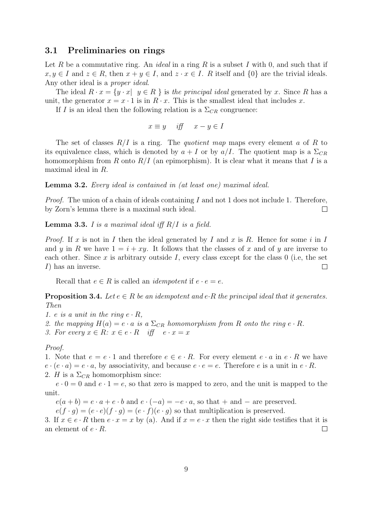## 3.1 Preliminaries on rings

Let R be a commutative ring. An *ideal* in a ring R is a subset I with 0, and such that if  $x, y \in I$  and  $z \in R$ , then  $x + y \in I$ , and  $z \cdot x \in I$ . R itself and  $\{0\}$  are the trivial ideals. Any other ideal is a proper ideal.

The ideal  $R \cdot x = \{y \cdot x | y \in R \}$  is the principal ideal generated by x. Since R has a unit, the generator  $x = x \cdot 1$  is in  $R \cdot x$ . This is the smallest ideal that includes x.

If I is an ideal then the following relation is a  $\Sigma_{CR}$  congruence:

$$
x \equiv y \quad \text{iff} \quad x - y \in I
$$

The set of classes  $R/I$  is a ring. The *quotient map* maps every element a of R to its equivalence class, which is denoted by  $a + I$  or by  $a/I$ . The quotient map is a  $\Sigma_{CR}$ homomorphism from R onto  $R/I$  (an epimorphism). It is clear what it means that I is a maximal ideal in R.

Lemma 3.2. Every ideal is contained in (at least one) maximal ideal.

*Proof.* The union of a chain of ideals containing  $I$  and not 1 does not include 1. Therefore, by Zorn's lemma there is a maximal such ideal.  $\Box$ 

**Lemma 3.3.** I is a maximal ideal iff  $R/I$  is a field.

*Proof.* If x is not in I then the ideal generated by I and x is R. Hence for some i in I and y in R we have  $1 = i + xy$ . It follows that the classes of x and of y are inverse to each other. Since x is arbitrary outside I, every class except for the class 0 (i.e, the set I) has an inverse.  $\Box$ 

Recall that  $e \in R$  is called an *idempotent* if  $e \cdot e = e$ .

**Proposition 3.4.** Let  $e \in R$  be an idempotent and  $e \cdot R$  the principal ideal that it generates. Then

1. e is a unit in the ring  $e \cdot R$ ,

- 2. the mapping  $H(a) = e \cdot a$  is a  $\Sigma_{CR}$  homomorphism from R onto the ring  $e \cdot R$ .
- 3. For every  $x \in R$ :  $x \in e \cdot R$  iff  $e \cdot x = x$

#### Proof.

1. Note that  $e = e \cdot 1$  and therefore  $e \in e \cdot R$ . For every element  $e \cdot a$  in  $e \cdot R$  we have  $e \cdot (e \cdot a) = e \cdot a$ , by associativity, and because  $e \cdot e = e$ . Therefore e is a unit in  $e \cdot R$ .

2. H is a  $\Sigma_{CR}$  homomorphism since:

 $e \cdot 0 = 0$  and  $e \cdot 1 = e$ , so that zero is mapped to zero, and the unit is mapped to the unit.

 $e(a + b) = e \cdot a + e \cdot b$  and  $e \cdot (-a) = -e \cdot a$ , so that  $+$  and  $-$  are preserved.

 $e(f \cdot g) = (e \cdot e)(f \cdot g) = (e \cdot f)(e \cdot g)$  so that multiplication is preserved.

3. If  $x \in e \cdot R$  then  $e \cdot x = x$  by (a). And if  $x = e \cdot x$  then the right side testifies that it is an element of  $e \cdot R$ .  $\Box$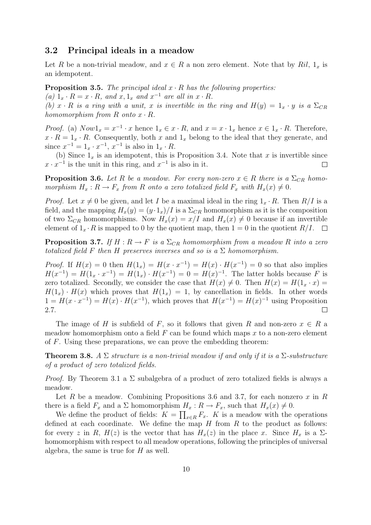## 3.2 Principal ideals in a meadow

Let R be a non-trivial meadow, and  $x \in R$  a non zero element. Note that by Ril,  $1_x$  is an idempotent.

**Proposition 3.5.** The principal ideal  $x \cdot R$  has the following properties: (a)  $1_x \cdot R = x \cdot R$ , and  $x, 1_x$  and  $x^{-1}$  are all in  $x \cdot R$ . (b) x  $\cdot$  R is a ring with a unit, x is invertible in the ring and  $H(y) = 1_x \cdot y$  is a  $\Sigma_{CR}$ homomorphism from  $R$  onto  $x \cdot R$ .

*Proof.* (a)  $Now1_x = x^{-1} \cdot x$  hence  $1_x \in x \cdot R$ , and  $x = x \cdot 1_x$  hence  $x \in 1_x \cdot R$ . Therefore,  $x \cdot R = 1_x \cdot R$ . Consequently, both x and  $1_x$  belong to the ideal that they generate, and since  $x^{-1} = 1_x \cdot x^{-1}$ ,  $x^{-1}$  is also in  $1_x \cdot R$ .

(b) Since  $1_x$  is an idempotent, this is Proposition 3.4. Note that x is invertible since  $x \cdot x^{-1}$  is the unit in this ring, and  $x^{-1}$  is also in it.  $\Box$ 

**Proposition 3.6.** Let R be a meadow. For every non-zero  $x \in R$  there is a  $\Sigma_{CR}$  homomorphism  $H_x: R \to F_x$  from R onto a zero totalized field  $F_x$  with  $H_x(x) \neq 0$ .

*Proof.* Let  $x \neq 0$  be given, and let I be a maximal ideal in the ring  $1_x \cdot R$ . Then  $R/I$  is a field, and the mapping  $H_x(y) = (y \cdot 1_x)/I$  is a  $\Sigma_{CR}$  homomorphism as it is the composition of two  $\Sigma_{CR}$  homomorphisms. Now  $H_x(x) = x/I$  and  $H_x(x) \neq 0$  because if an invertible element of  $1_x \cdot R$  is mapped to 0 by the quotient map, then  $1 = 0$  in the quotient  $R/I$ .  $\Box$ 

**Proposition 3.7.** If  $H : R \to F$  is a  $\Sigma_{CR}$  homomorphism from a meadow R into a zero totalized field F then H preserves inverses and so is a  $\Sigma$  homomorphism.

*Proof.* If  $H(x) = 0$  then  $H(1_x) = H(x \cdot x^{-1}) = H(x) \cdot H(x^{-1}) = 0$  so that also implies  $H(x^{-1}) = H(1_x \cdot x^{-1}) = H(1_x) \cdot H(x^{-1}) = 0 = H(x)^{-1}$ . The latter holds because F is zero totalized. Secondly, we consider the case that  $H(x) \neq 0$ . Then  $H(x) = H(1<sub>x</sub> \cdot x) =$  $H(1<sub>x</sub>) \cdot H(x)$  which proves that  $H(1<sub>x</sub>) = 1$ , by cancellation in fields. In other words  $1 = H(x \cdot x^{-1}) = H(x) \cdot H(x^{-1})$ , which proves that  $H(x^{-1}) = H(x)^{-1}$  using Proposition 2.7.  $\Box$ 

The image of H is subfield of F, so it follows that given R and non-zero  $x \in R$  a meadow homomorphism onto a field  $F$  can be found which maps  $x$  to a non-zero element of F. Using these preparations, we can prove the embedding theorem:

**Theorem 3.8.** A  $\Sigma$  structure is a non-trivial meadow if and only if it is a  $\Sigma$ -substructure of a product of zero totalized fields.

*Proof.* By Theorem 3.1 a  $\Sigma$  subalgebra of a product of zero totalized fields is always a meadow.

Let R be a meadow. Combining Propositions 3.6 and 3.7, for each nonzero x in R there is a field  $F_x$  and a  $\Sigma$  homomorphism  $H_x: R \to F_x$ , such that  $H_x(x) \neq 0$ .

We define the product of fields:  $K = \prod_{x \in R} F_x$ . K is a meadow with the operations defined at each coordinate. We define the map  $H$  from  $R$  to the product as follows: for every z in R,  $H(z)$  is the vector that has  $H_x(z)$  in the place x. Since  $H_x$  is a  $\Sigma$ homomorphism with respect to all meadow operations, following the principles of universal algebra, the same is true for  $H$  as well.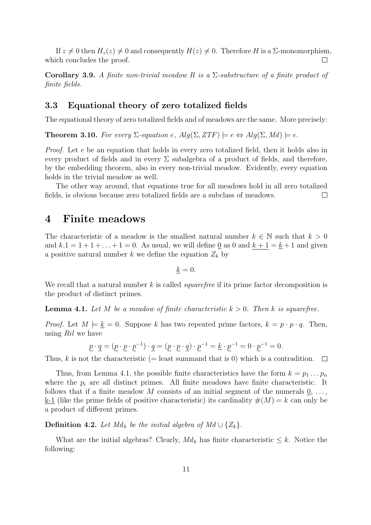If  $z \neq 0$  then  $H_z(z) \neq 0$  and consequently  $H(z) \neq 0$ . Therefore H is a  $\Sigma$ -monomorphism, which concludes the proof.  $\Box$ 

Corollary 3.9. A finite non-trivial meadow R is a  $\Sigma$ -substructure of a finite product of finite fields.

## 3.3 Equational theory of zero totalized fields

The equational theory of zero totalized fields and of meadows are the same. More precisely:

**Theorem 3.10.** For every  $\Sigma$ -equation e,  $Alg(\Sigma, ZTF) \models e \Leftrightarrow Alg(\Sigma, Md) \models e$ .

Proof. Let e be an equation that holds in every zero totalized field, then it holds also in every product of fields and in every  $\Sigma$  subalgebra of a product of fields, and therefore, by the embedding theorem, also in every non-trivial meadow. Evidently, every equation holds in the trivial meadow as well.

The other way around, that equations true for all meadows hold in all zero totalized fields, is obvious because zero totalized fields are a subclass of meadows.  $\Box$ 

## 4 Finite meadows

The characteristic of a meadow is the smallest natural number  $k \in \mathbb{N}$  such that  $k > 0$ and  $k \cdot 1 = 1 + 1 + \ldots + 1 = 0$ . As usual, we will define 0 as 0 and  $k + 1 = k + 1$  and given a positive natural number k we define the equation  $Z_k$  by

$$
\underline{k}=0.
$$

We recall that a natural number  $k$  is called *squarefree* if its prime factor decomposition is the product of distinct primes.

**Lemma 4.1.** Let M be a meadow of finite characteristic  $k > 0$ . Then k is squarefree.

*Proof.* Let  $M \models k = 0$ . Suppose k has two repeated prime factors,  $k = p \cdot p \cdot q$ . Then, using Ril we have

$$
\underline{p} \cdot \underline{q} = (\underline{p} \cdot \underline{p} \cdot \underline{p}^{-1}) \cdot \underline{q} = (\underline{p} \cdot \underline{p} \cdot \underline{q}) \cdot \underline{p}^{-1} = \underline{k} \cdot \underline{p}^{-1} = 0 \cdot \underline{p}^{-1} = 0.
$$

Thus, k is not the characteristic (= least summand that is 0) which is a contradition.  $\Box$ 

Thus, from Lemma 4.1, the possible finite characteristics have the form  $k = p_1 \dots p_n$ where the  $p_i$  are all distinct primes. All finite meadows have finite characteristic. It follows that if a finite meadow M consists of an initial segment of the numerals  $\underline{0}, \ldots$ , k-1 (like the prime fields of positive characteristic) its cardinality  $\#(M) = k$  can only be a product of different primes.

**Definition 4.2.** Let  $Md_k$  be the initial algebra of  $Md \cup \{Z_k\}$ .

What are the initial algebras? Clearly,  $Md_k$  has finite characteristic  $\leq k$ . Notice the following: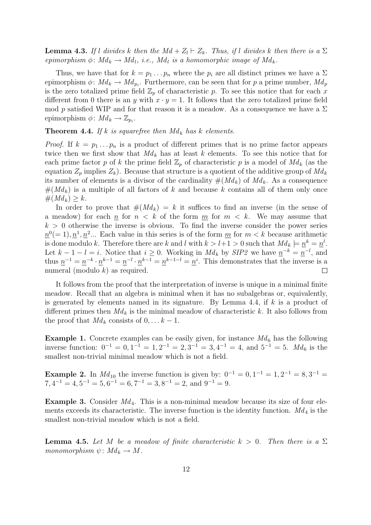**Lemma 4.3.** If l divides k then the  $Md + Z_l \vdash Z_k$ . Thus, if l divides k then there is a  $\Sigma$ epimorphism  $\phi \colon Md_k \to Md_l$ , i.e., Md<sub>l</sub> is a homomorphic image of Md<sub>k</sub>.

Thus, we have that for  $k = p_1 \dots p_n$  where the  $p_i$  are all distinct primes we have a  $\Sigma$ epimorphism  $\phi: Md_k \to Md_{p_i}$ . Furthermore, can be seen that for p a prime number,  $Md_p$ is the zero totalized prime field  $\mathbb{Z}_p$  of characteristic p. To see this notice that for each x different from 0 there is an y with  $x \cdot y = 1$ . It follows that the zero totalized prime field mod p satisfied WIP and for that reason it is a meadow. As a consequence we have a  $\Sigma$ epimorphism  $\phi \colon Md_k \to \mathbb{Z}_{p_i}.$ 

**Theorem 4.4.** If k is squarefree then  $Md_k$  has k elements.

*Proof.* If  $k = p_1 \dots p_n$  is a product of different primes that is no prime factor appears twice then we first show that  $Md_k$  has at least k elements. To see this notice that for each prime factor p of k the prime field  $\mathbb{Z}_p$  of characteristic p is a model of  $Md_k$  (as the equation  $Z_p$  implies  $Z_k$ ). Because that structure is a quotient of the additive group of  $Md_k$ its number of elements is a divisor of the cardinality  $\#(Md_k)$  of  $Md_k$ . As a consequence  $#(Md_k)$  is a multiple of all factors of k and because k contains all of them only once  $#(Md_k) \geq k.$ 

In order to prove that  $\#(Md_k) = k$  it suffices to find an inverse (in the sense of a meadow) for each  $n \leq k$  of the form  $m \leq k$ . We may assume that  $k > 0$  otherwise the inverse is obvious. To find the inverse consider the power series  $n^0(=1), n^1, n^2...$  Each value in this series is of the form  $m$  for  $m < k$  because arithmetic is done modulo k. Therefore there are k and l with  $k > l+1 > 0$  such that  $Md_k \models \underline{n}^k = \underline{n}^l$ . Let  $k-1-l=i$ . Notice that  $i \geq 0$ . Working in  $Md_k$  by  $SIP2$  we have  $\underline{n}^{-k} = \underline{n}^{-l}$ , and thus  $\underline{n}^{-1} = \underline{n}^{-k} \cdot \underline{n}^{k-1} = \underline{n}^{-l} \cdot \underline{n}^{k-1} = \underline{n}^{k-1-l} = \underline{n}^{i}$ . This demonstrates that the inverse is a numeral (modulo  $k$ ) as required.  $\Box$ 

It follows from the proof that the interpretation of inverse is unique in a minimal finite meadow. Recall that an algebra is minimal when it has no subalgebras or, equivalently, is generated by elements named in its signature. By Lemma 4.4, if  $k$  is a product of different primes then  $Md_k$  is the minimal meadow of characteristic k. It also follows from the proof that  $Md_k$  consists of  $0, \ldots k-1$ .

**Example 1.** Concrete examples can be easily given, for instance  $Md_6$  has the following inverse function:  $0^{-1} = 0, 1^{-1} = 1, 2^{-1} = 2, 3^{-1} = 3, 4^{-1} = 4, \text{ and } 5^{-1} = 5.$  Md<sub>6</sub> is the smallest non-trivial minimal meadow which is not a field.

**Example 2.** In  $Md_{10}$  the inverse function is given by:  $0^{-1} = 0, 1^{-1} = 1, 2^{-1} = 8, 3^{-1} = 1$  $7,4^{-1}=4,5^{-1}=5,6^{-1}=6,7^{-1}=3,8^{-1}=2,$  and  $9^{-1}=9$ .

**Example 3.** Consider  $Md_4$ . This is a non-minimal meadow because its size of four elements exceeds its characteristic. The inverse function is the identity function.  $Md_4$  is the smallest non-trivial meadow which is not a field.

**Lemma 4.5.** Let M be a meadow of finite characteristic  $k > 0$ . Then there is a  $\Sigma$ monomorphism  $\psi \colon Md_k \to M$ .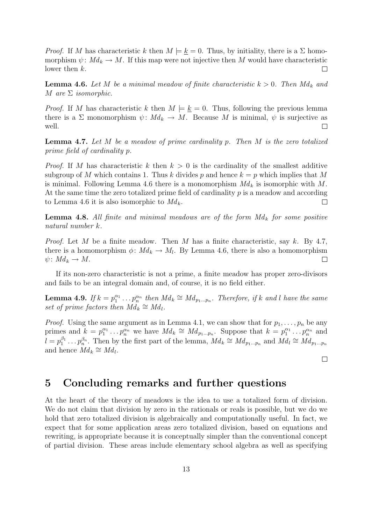*Proof.* If M has characteristic k then  $M \models k = 0$ . Thus, by initiality, there is a  $\Sigma$  homomorphism  $\psi: Md_k \to M$ . If this map were not injective then M would have characteristic lower then  $k$ .  $\Box$ 

**Lemma 4.6.** Let M be a minimal meadow of finite characteristic  $k > 0$ . Then  $Md_k$  and M are  $\Sigma$  isomorphic.

*Proof.* If M has characteristic k then  $M \models k = 0$ . Thus, following the previous lemma there is a  $\Sigma$  monomorphism  $\psi: Md_k \to M$ . Because M is minimal,  $\psi$  is surjective as well.  $\Box$ 

**Lemma 4.7.** Let  $M$  be a meadow of prime cardinality p. Then  $M$  is the zero totalized prime field of cardinality p.

*Proof.* If M has characteristic k then  $k > 0$  is the cardinality of the smallest additive subgroup of M which contains 1. Thus k divides p and hence  $k = p$  which implies that M is minimal. Following Lemma 4.6 there is a monomorphism  $Md_k$  is isomorphic with M. At the same time the zero totalized prime field of cardinality  $p$  is a meadow and according to Lemma 4.6 it is also isomorphic to  $Md_k$ .  $\Box$ 

**Lemma 4.8.** All finite and minimal meadows are of the form  $Md_k$  for some positive natural number k.

*Proof.* Let M be a finite meadow. Then M has a finite characteristic, say k. By 4.7, there is a homomorphism  $\phi: Md_k \to M_l$ . By Lemma 4.6, there is also a homomorphism  $\psi\colon Md_k\to M.$ П

If its non-zero characteristic is not a prime, a finite meadow has proper zero-divisors and fails to be an integral domain and, of course, it is no field either.

**Lemma 4.9.** If  $k = p_1^{\alpha_1} \dots p_n^{\alpha_n}$  then  $M d_k \cong M d_{p_1 \dots p_n}$ . Therefore, if k and l have the same set of prime factors then  $\overrightarrow{Md_k} \cong \overrightarrow{Md_l}$ .

*Proof.* Using the same argument as in Lemma 4.1, we can show that for  $p_1, \ldots, p_n$  be any primes and  $k = p_1^{\alpha_1} \dots p_n^{\alpha_n}$  we have  $Md_k \cong Md_{p_1 \dots p_n}$ . Suppose that  $k = p_1^{\alpha_1} \dots p_n^{\alpha_n}$  and  $l = p_1^{\beta_1} \dots p_n^{\beta_n}$ . Then by the first part of the lemma,  $Md_k \cong Md_{p_1...p_n}$  and  $Md_l \cong Md_{p_1...p_n}$ and hence  $Md_k \cong Md_l$ .

 $\Box$ 

# 5 Concluding remarks and further questions

At the heart of the theory of meadows is the idea to use a totalized form of division. We do not claim that division by zero in the rationals or reals is possible, but we do we hold that zero totalized division is algebraically and computationally useful. In fact, we expect that for some application areas zero totalized division, based on equations and rewriting, is appropriate because it is conceptually simpler than the conventional concept of partial division. These areas include elementary school algebra as well as specifying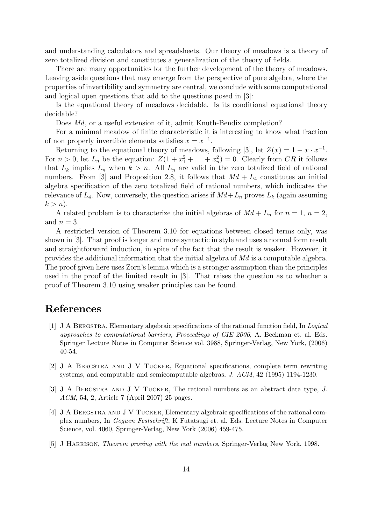and understanding calculators and spreadsheets. Our theory of meadows is a theory of zero totalized division and constitutes a generalization of the theory of fields.

There are many opportunities for the further development of the theory of meadows. Leaving aside questions that may emerge from the perspective of pure algebra, where the properties of invertibility and symmetry are central, we conclude with some computational and logical open questions that add to the questions posed in [3]:

Is the equational theory of meadows decidable. Is its conditional equational theory decidable?

Does Md, or a useful extension of it, admit Knuth-Bendix completion?

For a minimal meadow of finite characteristic it is interesting to know what fraction of non properly invertible elements satisfies  $x = x^{-1}$ .

Returning to the equational theory of meadows, following [3], let  $Z(x) = 1 - x \cdot x^{-1}$ . For  $n > 0$ , let  $L_n$  be the equation:  $Z(1 + x_1^2 + \dots + x_n^2) = 0$ . Clearly from CR it follows that  $L_k$  implies  $L_n$  when  $k > n$ . All  $L_n$  are valid in the zero totalized field of rational numbers. From [3] and Proposition 2.8, it follows that  $Md + L_4$  constitutes an initial algebra specification of the zero totalized field of rational numbers, which indicates the relevance of  $L_4$ . Now, conversely, the question arises if  $Md + L_n$  proves  $L_k$  (again assuming  $k > n$ ).

A related problem is to characterize the initial algebras of  $Md + L_n$  for  $n = 1, n = 2$ , and  $n = 3$ .

A restricted version of Theorem 3.10 for equations between closed terms only, was shown in [3]. That proof is longer and more syntactic in style and uses a normal form result and straightforward induction, in spite of the fact that the result is weaker. However, it provides the additional information that the initial algebra of Md is a computable algebra. The proof given here uses Zorn's lemma which is a stronger assumption than the principles used in the proof of the limited result in [3]. That raises the question as to whether a proof of Theorem 3.10 using weaker principles can be found.

# References

- [1] J A Bergstra, Elementary algebraic specifications of the rational function field, In Logical approaches to computational barriers, Proceedings of CIE 2006, A. Beckman et. al. Eds. Springer Lecture Notes in Computer Science vol. 3988, Springer-Verlag, New York, (2006) 40-54.
- [2] J A Bergstra and J V Tucker, Equational specifications, complete term rewriting systems, and computable and semicomputable algebras, J. ACM, 42 (1995) 1194-1230.
- [3] J A Bergstra and J V Tucker, The rational numbers as an abstract data type, J. ACM, 54, 2, Article 7 (April 2007) 25 pages.
- [4] J A Bergstra and J V Tucker, Elementary algebraic specifications of the rational complex numbers, In Goguen Festschrift, K Futatsugi et. al. Eds. Lecture Notes in Computer Science, vol. 4060, Springer-Verlag, New York (2006) 459-475.
- [5] J HARRISON, *Theorem proving with the real numbers*, Springer-Verlag New York, 1998.